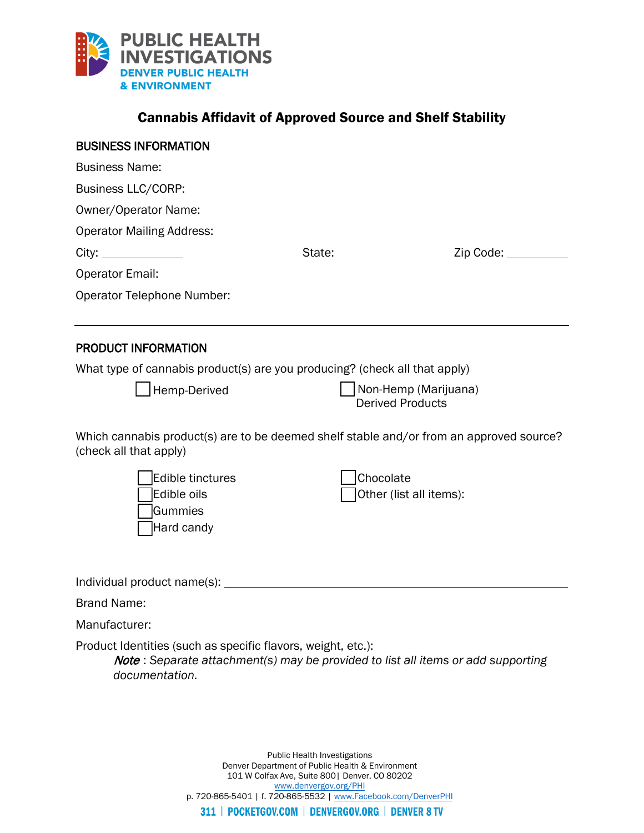

# Cannabis Affidavit of Approved Source and Shelf Stability

| <b>BUSINESS INFORMATION</b>                                                                                       |           |                                                                                          |
|-------------------------------------------------------------------------------------------------------------------|-----------|------------------------------------------------------------------------------------------|
| <b>Business Name:</b>                                                                                             |           |                                                                                          |
| Business LLC/CORP:                                                                                                |           |                                                                                          |
| Owner/Operator Name:                                                                                              |           |                                                                                          |
| <b>Operator Mailing Address:</b>                                                                                  |           |                                                                                          |
|                                                                                                                   | State:    | Zip Code: ________                                                                       |
| <b>Operator Email:</b>                                                                                            |           |                                                                                          |
| Operator Telephone Number:                                                                                        |           |                                                                                          |
| <b>PRODUCT INFORMATION</b>                                                                                        |           |                                                                                          |
| What type of cannabis product(s) are you producing? (check all that apply)                                        |           |                                                                                          |
| Hemp-Derived                                                                                                      |           | Non-Hemp (Marijuana)<br><b>Derived Products</b>                                          |
| Which cannabis product(s) are to be deemed shelf stable and/or from an approved source?<br>(check all that apply) |           |                                                                                          |
| Edible tinctures<br>Edible oils<br>Gummies<br>Hard candy                                                          | Chocolate | Other (list all items):                                                                  |
|                                                                                                                   |           |                                                                                          |
| <b>Brand Name:</b>                                                                                                |           |                                                                                          |
| Manufacturer:                                                                                                     |           |                                                                                          |
| Product Identities (such as specific flavors, weight, etc.):<br>documentation.                                    |           | <b>Note</b> : Separate attachment(s) may be provided to list all items or add supporting |
|                                                                                                                   |           |                                                                                          |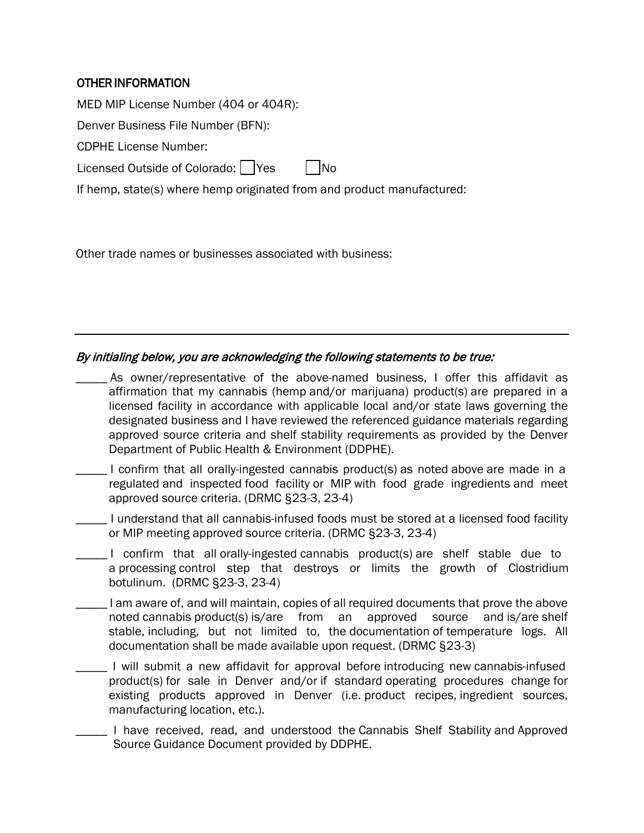## OTHER INFORMATION

MED MIP License Number (404 or 404R):

Denver Business File Number (BFN):

CDPHE License Number:

Licensed Outside of Colorado:  $\Box$  Yes  $\Box$  No

If hemp, state(s) where hemp originated from and product manufactured:

Other trade names or businesses associated with business:

Source Guidance Document provided by DDPHE.

### By initialing below, you are acknowledging the following statements to be true:

| As owner/representative of the above-named business, I offer this affidavit as<br>affirmation that my cannabis (hemp and/or marijuana) product(s) are prepared in a<br>licensed facility in accordance with applicable local and/or state laws governing the<br>designated business and I have reviewed the referenced guidance materials regarding<br>approved source criteria and shelf stability requirements as provided by the Denver<br>Department of Public Health & Environment (DDPHE). |
|--------------------------------------------------------------------------------------------------------------------------------------------------------------------------------------------------------------------------------------------------------------------------------------------------------------------------------------------------------------------------------------------------------------------------------------------------------------------------------------------------|
| I confirm that all orally-ingested cannabis product(s) as noted above are made in a<br>regulated and inspected food facility or MIP with food grade ingredients and meet<br>approved source criteria. (DRMC §23-3, 23-4)                                                                                                                                                                                                                                                                         |
| I understand that all cannabis-infused foods must be stored at a licensed food facility<br>or MIP meeting approved source criteria. (DRMC §23-3, 23-4)                                                                                                                                                                                                                                                                                                                                           |
| I confirm that all orally-ingested cannabis product(s) are shelf stable due to<br>a processing control step that destroys or limits the growth of Clostridium<br>botulinum. (DRMC §23-3, 23-4)                                                                                                                                                                                                                                                                                                   |
| I am aware of, and will maintain, copies of all required documents that prove the above<br>noted cannabis product(s) is/are from<br>an approved source<br>and is/are shelf<br>stable, including, but not limited to, the documentation of temperature logs. All<br>documentation shall be made available upon request. (DRMC §23-3)                                                                                                                                                              |
| I will submit a new affidavit for approval before introducing new cannabis-infused<br>product(s) for sale in Denver and/or if standard operating procedures change for<br>existing products approved in Denver (i.e. product recipes, ingredient sources,<br>manufacturing location, etc.).                                                                                                                                                                                                      |
| I have received, read, and understood the Cannabis Shelf Stability and Approved                                                                                                                                                                                                                                                                                                                                                                                                                  |